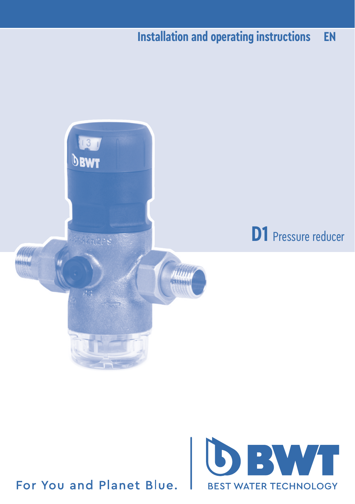### **Installation and operating instructions EN**



### For You and Planet Blue.

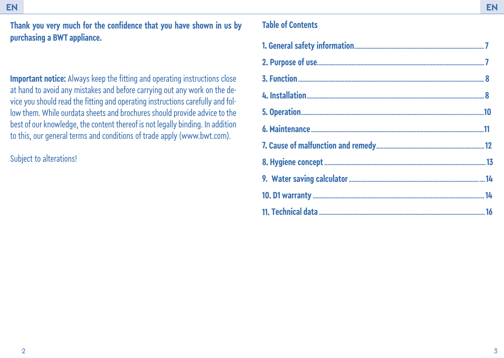**Thank you very much for the confidence that you have shown in us by Table of Contents purchasing a BWT appliance.**

**Important notice:** Always keep the fitting and operating instructions close at hand to avoid any mistakes and before carrying out any work on the device you should read the fitting and operating instructions carefully and follow them. While ourdata sheets and brochures should provide advice to the best of our knowledge, the content thereof is not legally binding. In addition to this, our general terms and conditions of trade apply (www.bwt.com).

Subject to alterations!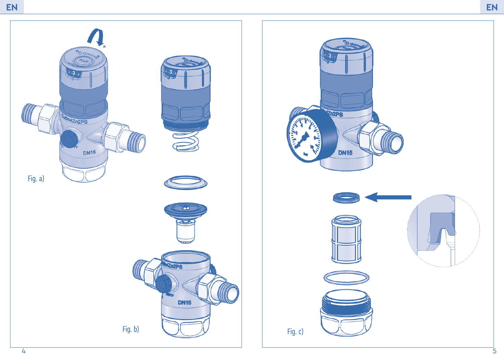

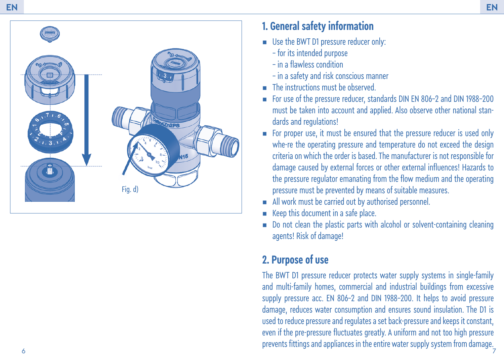

## **1. General safety information**

- **■** Use the BWT D1 pressure reducer only:
	- for its intended purpose
	- in a flawless condition
	- in a safety and risk conscious manner
- **EXECUTE:** The instructions must be observed.
- For use of the pressure reducer, standards DIN EN 806-2 and DIN 1988-200 must be taken into account and applied. Also observe other national stan dards and regulations!
- For proper use, it must be ensured that the pressure reducer is used only whe-re the operating pressure and temperature do not exceed the design criteria on which the order is based. The manufacturer is not responsible for damage caused by external forces or other external influences! Hazards to the pressure regulator emanating from the flow medium and the operating pressure must be prevented by means of suitable measures.
- All work must be carried out by authorised personnel
- Keep this document in a safe place.
- Do not clean the plastic parts with alcohol or solvent-containing cleaning agents! Risk of damage!

# **2. Purpose of use**

7 The BWT D1 pressure reducer protects water supply systems in single-family and multi-family homes, commercial and industrial buildings from excessive supply pressure acc. EN 806-2 and DIN 1988-200. It helps to avoid pressure damage, reduces water consumption and ensures sound insulation. The D1 is used to reduce pressure and regulates a set back-pressure and keeps it constant, even if the pre-pressure fluctuates greatly. A uniform and not too high pressure prevents fittings and appliances in the entire water supply system from damage.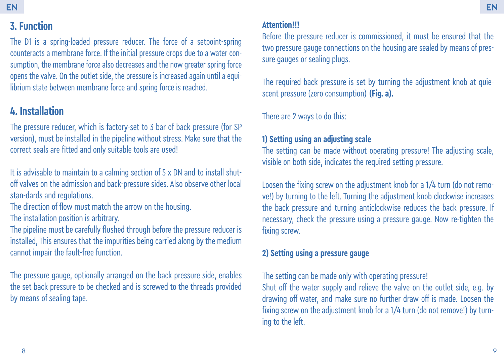# **3. Function**

The D1 is a spring-loaded pressure reducer. The force of a setpoint-spring counteracts a membrane force. If the initial pressure drops due to a water consumption, the membrane force also decreases and the now greater spring force opens the valve. On the outlet side, the pressure is increased again until a equilibrium state between membrane force and spring force is reached.

# **4. Installation**

The pressure reducer, which is factory-set to 3 bar of back pressure (for SP) version), must be installed in the pipeline without stress. Make sure that the correct seals are fitted and only suitable tools are used!

It is advisable to maintain to a calming section of 5 x DN and to install shutoff valves on the admission and back-pressure sides. Also observe other local stan-dards and regulations.

The direction of flow must match the arrow on the housing.

The installation position is arbitrary.

The pipeline must be carefully flushed through before the pressure reducer is installed, This ensures that the impurities being carried along by the medium cannot impair the fault-free function.

The pressure gauge, optionally arranged on the back pressure side, enables the set back pressure to be checked and is screwed to the threads provided by means of sealing tape.

### **Attention!!!**

Before the pressure reducer is commissioned, it must be ensured that the two pressure gauge connections on the housing are sealed by means of pressure gauges or sealing plugs.

The required back pressure is set by turning the adjustment knob at quiescent pressure (zero consumption) **(Fig. a).** 

There are 2 ways to do this:

### **1) Setting using an adjusting scale**

The setting can be made without operating pressure! The adjusting scale, visible on both side, indicates the required setting pressure.

Loosen the fixing screw on the adjustment knob for a 1/4 turn (do not remove!) by turning to the left. Turning the adjustment knob clockwise increases the back pressure and turning anticlockwise reduces the back pressure. If necessary, check the pressure using a pressure gauge. Now re-tighten the fixing screw.

### **2) Setting using a pressure gauge**

The setting can be made only with operating pressure!

Shut off the water supply and relieve the valve on the outlet side, e.g. by drawing off water, and make sure no further draw off is made. Loosen the fixing screw on the adjustment knob for a  $1/4$  turn (do not remove!) by turning to the left.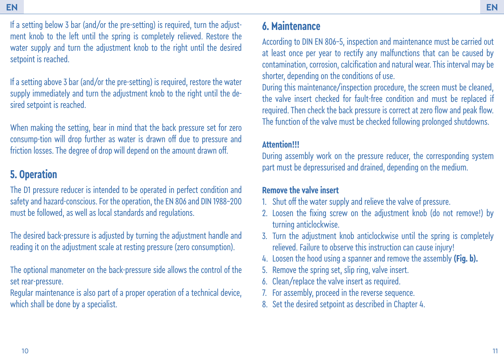If a setting below 3 bar (and/or the pre-setting) is required, turn the adjustment knob to the left until the spring is completely relieved. Restore the water supply and turn the adjustment knob to the right until the desired setpoint is reached.

If a setting above 3 bar (and/or the pre-setting) is required, restore the water supply immediately and turn the adjustment knob to the right until the desired setpoint is reached.

When making the setting, bear in mind that the back pressure set for zero consump-tion will drop further as water is drawn off due to pressure and friction losses. The degree of drop will depend on the amount drawn off.

# **5. Operation**

The D1 pressure reducer is intended to be operated in perfect condition and safety and hazard-conscious. For the operation, the EN 806 and DIN 1988-200 must be followed, as well as local standards and regulations.

The desired back-pressure is adjusted by turning the adjustment handle and reading it on the adjustment scale at resting pressure (zero consumption).

The optional manometer on the back-pressure side allows the control of the set rear-pressure.

Regular maintenance is also part of a proper operation of a technical device, which shall be done by a specialist.

## **6. Maintenance**

According to DIN EN 806-5, inspection and maintenance must be carried out at least once per year to rectify any malfunctions that can be caused by contamination, corrosion, calcification and natural wear. This interval may be shorter, depending on the conditions of use.

During this maintenance/inspection procedure, the screen must be cleaned, the valve insert checked for fault-free condition and must be replaced if required. Then check the back pressure is correct at zero flow and peak flow. The function of the valve must be checked following prolonged shutdowns.

#### **Attention!!!**

During assembly work on the pressure reducer, the corresponding system part must be depressurised and drained, depending on the medium.

### **Remove the valve insert**

- 1. Shut off the water supply and relieve the valve of pressure.
- 2. Loosen the fixing screw on the adjustment knob (do not remove!) by turning anticlockwise.
- 3. Turn the adjustment knob anticlockwise until the spring is completely relieved. Failure to observe this instruction can cause injury!
- 4. Loosen the hood using a spanner and remove the assembly **(Fig. b).**
- 5. Remove the spring set, slip ring, valve insert.
- 6. Clean/replace the valve insert as required.
- 7. For assembly, proceed in the reverse sequence.
- 8. Set the desired setpoint as described in Chapter 4.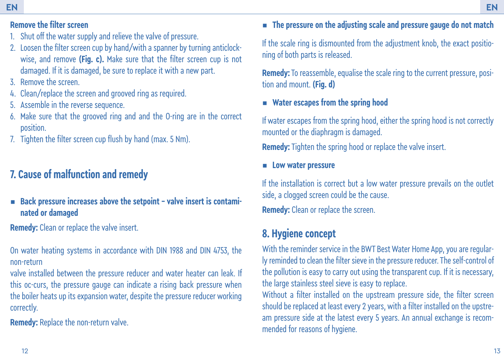### **Remove the filter screen**

- 1. Shut off the water supply and relieve the valve of pressure.
- 2. Loosen the filter screen cup by hand/with a spanner by turning anticlockwise, and remove **(Fig. c).** Make sure that the filter screen cup is not damaged. If it is damaged, be sure to replace it with a new part.
- 3. Remove the screen.
- 4. Clean/replace the screen and grooved ring as required.
- 5. Assemble in the reverse sequence.
- 6. Make sure that the grooved ring and and the O-ring are in the correct position.
- 7. Tighten the filter screen cup flush by hand (max. 5 Nm).

# **7. Cause of malfunction and remedy**

■ Back pressure increases above the setpoint - valve insert is contami **nated or damaged**

**Remedy:** Clean or replace the valve insert.

On water heating systems in accordance with DIN 1988 and DIN 4753, the non-return

valve installed between the pressure reducer and water heater can leak. If this oc-curs, the pressure gauge can indicate a rising back pressure when the boiler heats up its expansion water, despite the pressure reducer working correctly.

**Remedy:** Replace the non-return valve.

# $\blacksquare$  The pressure on the adjusting scale and pressure gauge do not match

If the scale ring is dismounted from the adjustment knob, the exact positioning of both parts is released.

**Remedy:** To reassemble, equalise the scale ring to the current pressure, position and mount. **(Fig. d)**

▪ **Water escapes from the spring hood**

If water escapes from the spring hood, either the spring hood is not correctly mounted or the diaphragm is damaged.

**Remedy:** Tighten the spring hood or replace the valve insert.

### ▪ **Low water pressure**

If the installation is correct but a low water pressure prevails on the outlet side, a clogged screen could be the cause.

**Remedy:** Clean or replace the screen.

# **8. Hygiene concept**

With the reminder service in the BWT Best Water Home App, you are regularly reminded to clean the filter sieve in the pressure reducer. The self-control of the pollution is easy to carry out using the transparent cup. If it is necessary, the large stainless steel sieve is easy to replace.

Without a filter installed on the upstream pressure side, the filter screen should be replaced at least every 2 years, with a filter installed on the upstream pressure side at the latest every 5 years. An annual exchange is recommended for reasons of hygiene.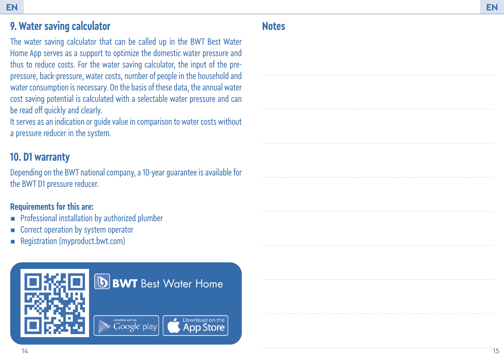#### **EN EN**

# **9. Water saving calculator**

The water saving calculator that can be called up in the BWT Best Water Home App serves as a support to optimize the domestic water pressure and thus to reduce costs. For the water saving calculator, the input of the prepressure, back-pressure, water costs, number of people in the household and water consumption is necessary. On the basis of these data, the annual water cost saving potential is calculated with a selectable water pressure and can be read off quickly and clearly.

It serves as an indication or guide value in comparison to water costs without a pressure reducer in the system.

## **10. D1 warranty**

Depending on the BWT national company, a 10-year guarantee is available for the BWT D1 pressure reducer.

### **Requirements for this are:**

- **•** Professional installation by authorized plumber
- Correct operation by system operator
- Registration (myproduct.bwt.com)



# **Notes**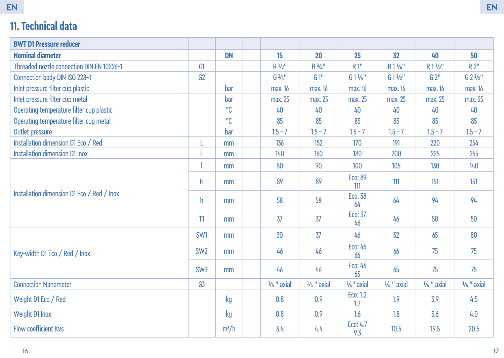# **11. Technical data**

| <b>BWT D1 Pressure reducer</b>             |                 |           |                       |                       |                       |                       |                       |                       |
|--------------------------------------------|-----------------|-----------|-----------------------|-----------------------|-----------------------|-----------------------|-----------------------|-----------------------|
| <b>Nominal diameter</b>                    |                 | <b>DN</b> | 15                    | 20                    | 25                    | 32                    | 40                    | 50                    |
| Threaded nozzle connection DIN EN 10226-1  | G1              |           | R 1/2"                | R 3/4"                | R1"                   | R11/4"                | R11/2"                | R 2"                  |
| Connection body DIN ISO 228-1              | G2              |           | G3/4"                 | G1''                  | G144''                | $G1\frac{1}{2}$       | G 2"                  | G 2 1/2"              |
| Inlet pressure filter cup plastic          |                 | bar       | max. 16               | max. 16               | max. 16               | max. 16               | max. 16               | max. 16               |
| Inlet pressure filter cup metal            |                 | bar       | max. 25               | max. 25               | max. 25               | max. 25               | max. 25               | max. 25               |
| Operating temperature filter cup plastic   |                 | °C        | 40                    | 40                    | 40                    | 40                    | 40                    | 40                    |
| Operating temperature filter cup metal     |                 | °C        | 85                    | 85                    | 85                    | 85                    | 85                    | 85                    |
| Outlet pressure                            |                 | bar       | $1.5 - 7$             | $1.5 - 7$             | $15 - 7$              | $1.5 - 7$             | $1.5 - 7$             | $1.5 - 7$             |
| Installation dimension D1 Eco / Red        | L               | mm        | 136                   | 152                   | 170                   | 191                   | 220                   | 254                   |
| <b>Installation dimension D1 Inox</b>      |                 | mm        | 140                   | 160                   | 180                   | 200                   | 225                   | 255                   |
| Installation dimension D1 Eco / Red / Inox |                 | mm        | 80                    | 90                    | 100                   | 105                   | 130                   | 140                   |
|                                            | Н               | mm        | 89                    | 89                    | Eco: 89<br>111        | 111                   | 151                   | 151                   |
|                                            | h               | mm        | 58                    | 58                    | Eco: 58<br>64         | 64                    | 94                    | 94                    |
|                                            | $\mathbb{I}$    | mm        | 37                    | $\overline{37}$       | Eco: 37<br>46         | 46                    | 50                    | 50                    |
| Key-width D1 Eco / Red / Inox              | SW1             | mm        | 30                    | $\overline{37}$       | 46                    | 52                    | 65                    | 80                    |
|                                            | SW <sub>2</sub> | mm        | 46                    | 46                    | Eco: 46<br>66         | 66                    | 75                    | 75                    |
|                                            | SW <sub>3</sub> | mm        | 46                    | 46                    | Eco: 46<br>65         | 65                    | 75                    | 75                    |
| <b>Connection Manometer</b>                | G <sub>3</sub>  |           | $\frac{1}{4}$ " axial | $\frac{1}{4}$ " axial | $\frac{1}{4}$ " axial | $\frac{1}{4}$ " axial | $\frac{1}{4}$ " axial | $\frac{1}{4}$ " axial |
| Weight D1 Eco / Red                        |                 | kg        | 0.8                   | 0.9                   | Eco: 1.2<br>1.7       | 1.9                   | 3.9                   | 4.5                   |
| Weight D1 Inox                             |                 | kg        | 0.8                   | 0.9                   | 1.6                   | 1.8                   | 3.6                   | 4.0                   |
| <b>Flow coefficient Kvs</b>                |                 | $m^3/h$   | 3.4                   | 4.4                   | Eco: 4.7<br>9.3       | 10.5                  | 19.5                  | 20.5                  |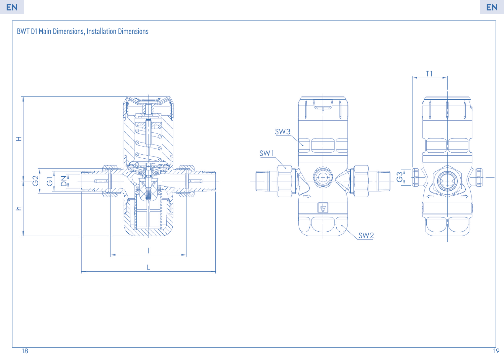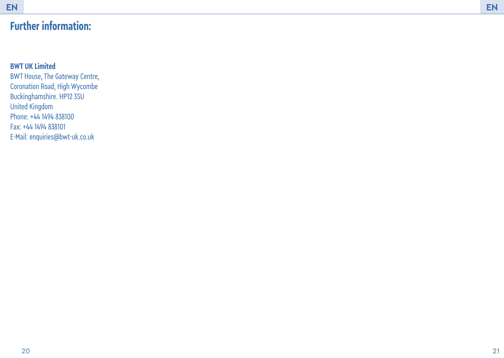# **Further information:**

### **BWT UK Limited**

BWT House, The Gateway Centre, Coronation Road, High Wycombe Buckinghamshire. HP12 3SU United Kingdom Phone: +44 1494 838100 Fax: +44 1494 838101 E-Mail: enquiries@bwt-uk.co.uk